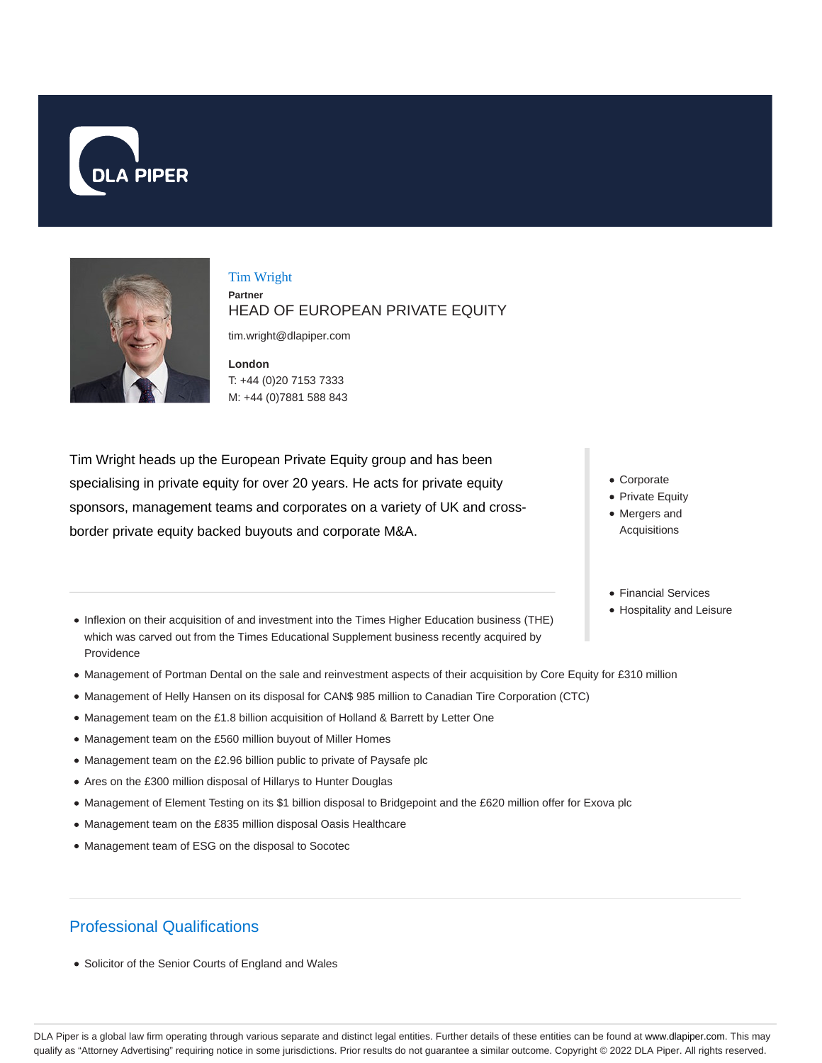



### Tim Wright **Partner** HEAD OF EUROPEAN PRIVATE EQUITY

tim.wright@dlapiper.com

**London** T: +44 (0)20 7153 7333 M: +44 (0)7881 588 843

Tim Wright heads up the European Private Equity group and has been specialising in private equity for over 20 years. He acts for private equity sponsors, management teams and corporates on a variety of UK and crossborder private equity backed buyouts and corporate M&A.

- Corporate
- Private Equity
- Mergers and Acquisitions
- Financial Services
- Hospitality and Leisure
- Inflexion on their acquisition of and investment into the Times Higher Education business (THE) which was carved out from the Times Educational Supplement business recently acquired by Providence
- Management of Portman Dental on the sale and reinvestment aspects of their acquisition by Core Equity for £310 million
- Management of Helly Hansen on its disposal for CAN\$ 985 million to Canadian Tire Corporation (CTC)
- Management team on the £1.8 billion acquisition of Holland & Barrett by Letter One
- Management team on the £560 million buyout of Miller Homes
- Management team on the £2.96 billion public to private of Paysafe plc
- Ares on the £300 million disposal of Hillarys to Hunter Douglas
- Management of Element Testing on its \$1 billion disposal to Bridgepoint and the £620 million offer for Exova plc
- Management team on the £835 million disposal Oasis Healthcare
- Management team of ESG on the disposal to Socotec

# Professional Qualifications

• Solicitor of the Senior Courts of England and Wales

DLA Piper is a global law firm operating through various separate and distinct legal entities. Further details of these entities can be found at www.dlapiper.com. This may qualify as "Attorney Advertising" requiring notice in some jurisdictions. Prior results do not guarantee a similar outcome. Copyright © 2022 DLA Piper. All rights reserved.